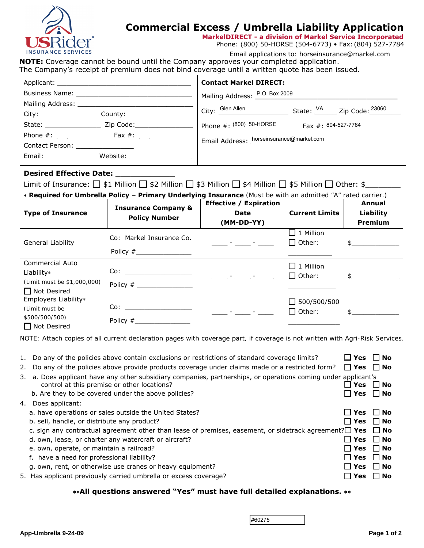

## **Commercial Excess / Umbrella Liability Application**

**MarkelDIRECT - a division of Markel Service Incorporated**

Phone: (800) 50-HORSE (504-6773) • Fax: (804) 527-7784

m Email applications to: horseinsurance@markel.com

**NOTE:** Coverage cannot be bound until the Company approves your completed application. The Company's receipt of premium does not bind coverage until a written quote has been issued.

|                                   |              | <b>Contact Markel DIRECT:</b>            |                     |                                                 |
|-----------------------------------|--------------|------------------------------------------|---------------------|-------------------------------------------------|
|                                   |              | Mailing Address: P.O. Box 2009           |                     |                                                 |
| Mailing Address: Mailing Address: |              | City: Glen Allen                         |                     |                                                 |
|                                   | County: 2000 |                                          |                     | State: <sup>VA</sup> Zip Code: <sup>23060</sup> |
|                                   |              | Phone $\#$ : (800) 50-HORSE              | Fax #: 804-527-7784 |                                                 |
| Phone $\#$ : _____ ________       | Fax $#$ :    | Email Address: horseinsurance@markel.com |                     |                                                 |
| <b>Contact Person:</b>            |              |                                          |                     |                                                 |
| Email: Email:                     | Website:     |                                          |                     |                                                 |

## **Desired Effective Date: \_\_\_\_\_\_\_\_\_\_\_\_**

Limit of Insurance: \$1 Million \$2 Million \$3 Million \$4 Million \$5 Million Other: \$\_\_\_\_\_\_\_\_

| <b>* Required for Umbrella Policy - Primary Underlying Insurance</b> (Must be with an admitted "A" rated carrier.) |                                                        |                                     |                       |                |
|--------------------------------------------------------------------------------------------------------------------|--------------------------------------------------------|-------------------------------------|-----------------------|----------------|
|                                                                                                                    | <b>Insurance Company &amp;</b><br><b>Policy Number</b> | <b>Effective / Expiration</b>       |                       | Annual         |
| <b>Type of Insurance</b>                                                                                           |                                                        | Date                                | <b>Current Limits</b> | Liability      |
|                                                                                                                    |                                                        | (MM-DD-YY)                          |                       | <b>Premium</b> |
| General Liability                                                                                                  | Co: Markel Insurance Co.                               | and the contract of the contract of | $\Box$ 1 Million      |                |
|                                                                                                                    |                                                        |                                     | $\Box$ Other:         | $\mathfrak{S}$ |
|                                                                                                                    |                                                        |                                     |                       |                |
| <b>Commercial Auto</b>                                                                                             |                                                        |                                     | $\square$ 1 Million   |                |
| Liability*                                                                                                         | $\text{Co:}\n \overline{\qquad \qquad }$               | and the competition                 | $\Box$ Other:         | $\mathsf{\$}$  |
| (Limit must be \$1,000,000)                                                                                        |                                                        |                                     |                       |                |
| $\Box$ Not Desired                                                                                                 |                                                        |                                     |                       |                |
| Employers Liability*                                                                                               |                                                        |                                     | $\Box$ 500/500/500    |                |
| (Limit must be                                                                                                     | $\circ$ $\sim$                                         | and the state of the state          | $\square$ Other:      |                |
| <i><b>\$500/500/500)</b></i>                                                                                       |                                                        |                                     |                       |                |
| $\Box$ Not Desired                                                                                                 |                                                        |                                     |                       |                |

*NOTE: Attach copies of all current declaration pages with coverage part, if coverage is not written with Agri-Risk Services.*

|    | 1. Do any of the policies above contain exclusions or restrictions of standard coverage limits?                                                               | $\square$ Yes        | $\Box$ No |
|----|---------------------------------------------------------------------------------------------------------------------------------------------------------------|----------------------|-----------|
|    | 2. Do any of the policies above provide products coverage under claims made or a restricted form?                                                             | $\Box$ Yes $\Box$ No |           |
|    | 3. a. Does applicant have any other subsidiary companies, partnerships, or operations coming under applicant's<br>control at this premise or other locations? | l l Yes              | l i No    |
|    | b. Are they to be covered under the above policies?                                                                                                           | $\Box$ Yes $\Box$ No |           |
| 4. | Does applicant:                                                                                                                                               |                      |           |
|    | a. have operations or sales outside the United States?                                                                                                        | l l Yes              | $\Box$ No |
|    | b. sell, handle, or distribute any product?                                                                                                                   | $\Box$ Yes           | $\Box$ No |
|    | c. sign any contractual agreement other than lease of premises, easement, or sidetrack agreement? $\Box$ Yes $\Box$ No                                        |                      |           |
|    | d. own, lease, or charter any watercraft or aircraft?                                                                                                         | l l Yes              | l i No    |
|    | e. own, operate, or maintain a railroad?                                                                                                                      | □ Yes □ No           |           |
|    | f. have a need for professional liability?                                                                                                                    | $\Box$ Yes           | $\Box$ No |
|    | g. own, rent, or otherwise use cranes or heavy equipment?                                                                                                     | $\Box$ Yes           | $\Box$ No |
|    | 5. Has applicant previously carried umbrella or excess coverage?                                                                                              | <b>Yes</b><br>H      | l I No    |

## ∗∗**All questions answered "Yes" must have full detailed explanations.** ∗∗

#60275